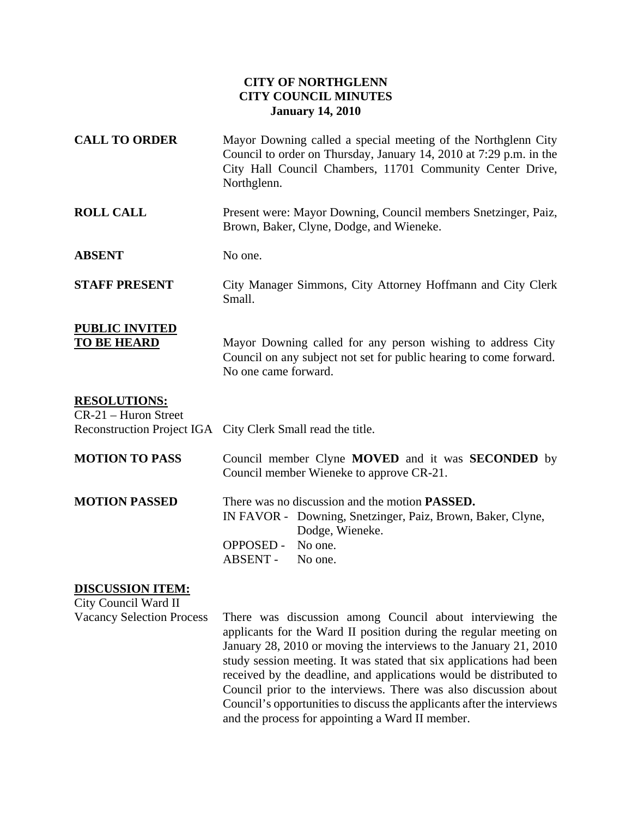## **CITY OF NORTHGLENN CITY COUNCIL MINUTES January 14, 2010**

| <b>CALL TO ORDER</b>                                                                                                                          | Mayor Downing called a special meeting of the Northglenn City<br>Council to order on Thursday, January 14, 2010 at 7:29 p.m. in the<br>City Hall Council Chambers, 11701 Community Center Drive,<br>Northglenn. |
|-----------------------------------------------------------------------------------------------------------------------------------------------|-----------------------------------------------------------------------------------------------------------------------------------------------------------------------------------------------------------------|
| <b>ROLL CALL</b>                                                                                                                              | Present were: Mayor Downing, Council members Snetzinger, Paiz,<br>Brown, Baker, Clyne, Dodge, and Wieneke.                                                                                                      |
| <b>ABSENT</b>                                                                                                                                 | No one.                                                                                                                                                                                                         |
| <b>STAFF PRESENT</b>                                                                                                                          | City Manager Simmons, City Attorney Hoffmann and City Clerk<br>Small.                                                                                                                                           |
| <b>PUBLIC INVITED</b><br><b>TO BE HEARD</b>                                                                                                   | Mayor Downing called for any person wishing to address City<br>Council on any subject not set for public hearing to come forward.<br>No one came forward.                                                       |
| <b>RESOLUTIONS:</b><br>CR-21 - Huron Street                                                                                                   | Reconstruction Project IGA City Clerk Small read the title.                                                                                                                                                     |
| <b>MOTION TO PASS</b>                                                                                                                         | Council member Clyne MOVED and it was <b>SECONDED</b> by<br>Council member Wieneke to approve CR-21.                                                                                                            |
| <b>MOTION PASSED</b>                                                                                                                          | There was no discussion and the motion <b>PASSED.</b><br>IN FAVOR - Downing, Snetzinger, Paiz, Brown, Baker, Clyne,<br>Dodge, Wieneke.<br>OPPOSED - No one.<br><b>ABSENT -</b><br>No one.                       |
| <b>DISCUSSION ITEM:</b><br>City Council Ward II<br>$\mathbf{v}$ $\mathbf{v}$ $\mathbf{v}$ $\mathbf{v}$ $\mathbf{v}$ $\mathbf{v}$ $\mathbf{v}$ | the contract of the contract of the contract of the contract of the contract of the contract of the contract of                                                                                                 |

Vacancy Selection Process There was discussion among Council about interviewing the applicants for the Ward II position during the regular meeting on January 28, 2010 or moving the interviews to the January 21, 2010 study session meeting. It was stated that six applications had been received by the deadline, and applications would be distributed to Council prior to the interviews. There was also discussion about Council's opportunities to discuss the applicants after the interviews and the process for appointing a Ward II member.